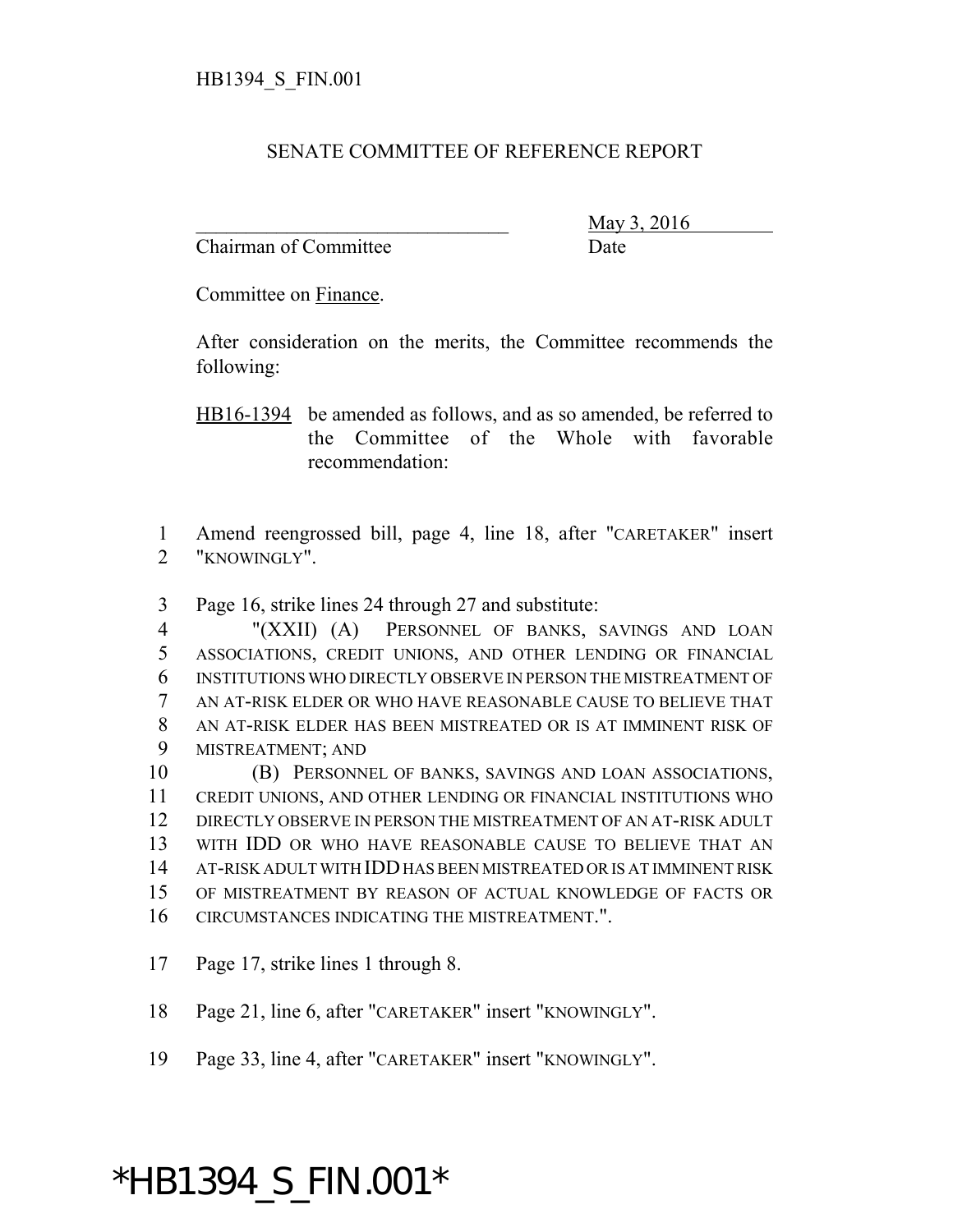## SENATE COMMITTEE OF REFERENCE REPORT

Chairman of Committee Date

\_\_\_\_\_\_\_\_\_\_\_\_\_\_\_\_\_\_\_\_\_\_\_\_\_\_\_\_\_\_\_ May 3, 2016

Committee on Finance.

After consideration on the merits, the Committee recommends the following:

HB16-1394 be amended as follows, and as so amended, be referred to the Committee of the Whole with favorable recommendation:

 Amend reengrossed bill, page 4, line 18, after "CARETAKER" insert "KNOWINGLY".

Page 16, strike lines 24 through 27 and substitute:

 "(XXII) (A) PERSONNEL OF BANKS, SAVINGS AND LOAN ASSOCIATIONS, CREDIT UNIONS, AND OTHER LENDING OR FINANCIAL INSTITUTIONS WHO DIRECTLY OBSERVE IN PERSON THE MISTREATMENT OF AN AT-RISK ELDER OR WHO HAVE REASONABLE CAUSE TO BELIEVE THAT AN AT-RISK ELDER HAS BEEN MISTREATED OR IS AT IMMINENT RISK OF MISTREATMENT; AND

 (B) PERSONNEL OF BANKS, SAVINGS AND LOAN ASSOCIATIONS, CREDIT UNIONS, AND OTHER LENDING OR FINANCIAL INSTITUTIONS WHO DIRECTLY OBSERVE IN PERSON THE MISTREATMENT OF AN AT-RISK ADULT WITH IDD OR WHO HAVE REASONABLE CAUSE TO BELIEVE THAT AN AT-RISK ADULT WITH IDD HAS BEEN MISTREATED OR IS AT IMMINENT RISK OF MISTREATMENT BY REASON OF ACTUAL KNOWLEDGE OF FACTS OR CIRCUMSTANCES INDICATING THE MISTREATMENT.".

Page 17, strike lines 1 through 8.

Page 21, line 6, after "CARETAKER" insert "KNOWINGLY".

Page 33, line 4, after "CARETAKER" insert "KNOWINGLY".

## \*HB1394\_S\_FIN.001\*